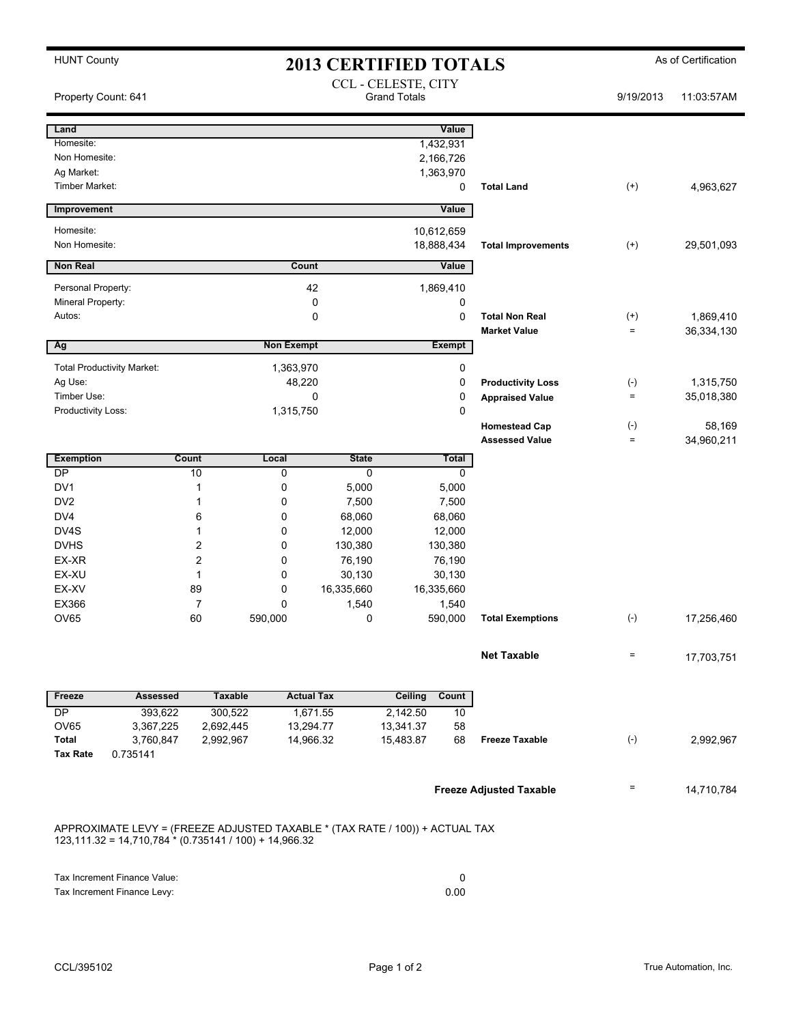| <b>HUNT County</b><br><b>2013 CERTIFIED TOTALS</b> |                                                                                                                                          |                      |                                            |              |                |                  |                                | As of Certification |            |
|----------------------------------------------------|------------------------------------------------------------------------------------------------------------------------------------------|----------------------|--------------------------------------------|--------------|----------------|------------------|--------------------------------|---------------------|------------|
| Property Count: 641                                |                                                                                                                                          |                      | CCL - CELESTE, CITY<br><b>Grand Totals</b> |              |                |                  |                                |                     | 11:03:57AM |
| Land                                               |                                                                                                                                          |                      |                                            |              |                | Value            |                                |                     |            |
| Homesite:                                          |                                                                                                                                          |                      |                                            |              |                | 1,432,931        |                                |                     |            |
| Non Homesite:                                      |                                                                                                                                          |                      |                                            |              |                | 2,166,726        |                                |                     |            |
| Ag Market:                                         |                                                                                                                                          |                      |                                            |              |                | 1,363,970        |                                |                     |            |
| Timber Market:                                     |                                                                                                                                          |                      |                                            |              |                | 0                | <b>Total Land</b>              | $^{(+)}$            | 4,963,627  |
| Improvement                                        |                                                                                                                                          |                      |                                            |              |                | Value            |                                |                     |            |
| Homesite:                                          |                                                                                                                                          |                      |                                            |              |                | 10,612,659       |                                |                     |            |
| Non Homesite:                                      |                                                                                                                                          |                      |                                            |              |                | 18,888,434       | <b>Total Improvements</b>      | $^{(+)}$            | 29,501,093 |
| <b>Non Real</b>                                    |                                                                                                                                          |                      | Count                                      | Value        |                |                  |                                |                     |            |
| Personal Property:                                 |                                                                                                                                          |                      | 42                                         |              |                | 1,869,410        |                                |                     |            |
| Mineral Property:                                  |                                                                                                                                          |                      |                                            | 0            |                | 0                |                                |                     |            |
| Autos:                                             |                                                                                                                                          |                      |                                            | $\mathbf 0$  |                | 0                | <b>Total Non Real</b>          | $^{(+)}$            | 1,869,410  |
|                                                    |                                                                                                                                          |                      |                                            |              |                |                  | <b>Market Value</b>            | $=$                 | 36,334,130 |
| Ag                                                 |                                                                                                                                          |                      | <b>Non Exempt</b>                          |              |                | <b>Exempt</b>    |                                |                     |            |
|                                                    | <b>Total Productivity Market:</b>                                                                                                        |                      | 1,363,970                                  |              |                | 0                |                                |                     |            |
| Ag Use:                                            |                                                                                                                                          |                      | 48,220                                     |              |                | 0                | <b>Productivity Loss</b>       | $(\text{-})$        | 1,315,750  |
| Timber Use:                                        |                                                                                                                                          |                      |                                            | 0            |                | 0                | <b>Appraised Value</b>         | $\quad \  \  =$     | 35,018,380 |
| Productivity Loss:                                 |                                                                                                                                          |                      | 1,315,750                                  |              |                | $\mathbf 0$      | <b>Homestead Cap</b>           | $(\text{-})$        | 58,169     |
|                                                    |                                                                                                                                          |                      |                                            |              |                |                  | <b>Assessed Value</b>          | $\qquad \qquad =$   | 34,960,211 |
| <b>Exemption</b>                                   |                                                                                                                                          | <b>Count</b>         | Local                                      | <b>State</b> |                | <b>Total</b>     |                                |                     |            |
| DP                                                 |                                                                                                                                          | 10                   | 0                                          | 0            |                | 0                |                                |                     |            |
| DV <sub>1</sub>                                    |                                                                                                                                          | 1                    | 0                                          | 5,000        |                | 5,000            |                                |                     |            |
| DV <sub>2</sub>                                    |                                                                                                                                          | 1                    | 0                                          | 7,500        |                | 7,500            |                                |                     |            |
| DV <sub>4</sub>                                    |                                                                                                                                          | 6                    | 0                                          | 68,060       |                | 68,060           |                                |                     |            |
| DV4S                                               |                                                                                                                                          | 1                    | 0                                          | 12,000       |                | 12,000           |                                |                     |            |
| <b>DVHS</b>                                        |                                                                                                                                          | 2                    | $\mathbf 0$                                | 130,380      | 130,380        |                  |                                |                     |            |
| EX-XR                                              |                                                                                                                                          | $\overline{2}$       | $\mathbf 0$                                | 76,190       | 76,190         |                  |                                |                     |            |
| EX-XU                                              |                                                                                                                                          | $\mathbf{1}$         | $\mathbf 0$                                | 30,130       |                | 30,130           |                                |                     |            |
| EX-XV<br>EX366                                     |                                                                                                                                          | 89<br>$\overline{7}$ | 0                                          | 16,335,660   |                | 16,335,660       |                                |                     |            |
| <b>OV65</b>                                        |                                                                                                                                          | 60                   | 0<br>590.000                               | 1,540<br>0   |                | 1,540<br>590,000 | <b>Total Exemptions</b>        | $(-)$               | 17,256,460 |
|                                                    |                                                                                                                                          |                      |                                            |              |                |                  |                                |                     |            |
|                                                    |                                                                                                                                          |                      |                                            |              |                |                  | <b>Net Taxable</b>             | $=$                 | 17,703,751 |
|                                                    |                                                                                                                                          |                      |                                            |              |                |                  |                                |                     |            |
| Freeze                                             | <b>Assessed</b>                                                                                                                          | <b>Taxable</b>       | <b>Actual Tax</b>                          |              | <b>Ceiling</b> | Count            |                                |                     |            |
| <b>DP</b>                                          | 393,622                                                                                                                                  | 300,522              |                                            | 1,671.55     | 2,142.50       | 10               |                                |                     |            |
| <b>OV65</b>                                        | 3,367,225                                                                                                                                | 2,692,445            | 13,294.77                                  |              | 13,341.37      | 58               |                                |                     |            |
| Total                                              | 3,760,847                                                                                                                                | 2,992,967            | 14,966.32                                  |              | 15,483.87      | 68               | <b>Freeze Taxable</b>          | $(-)$               | 2,992,967  |
| <b>Tax Rate</b>                                    | 0.735141                                                                                                                                 |                      |                                            |              |                |                  |                                |                     |            |
|                                                    |                                                                                                                                          |                      |                                            |              |                |                  | <b>Freeze Adjusted Taxable</b> | Ξ                   | 14,710,784 |
|                                                    | APPROXIMATE LEVY = (FREEZE ADJUSTED TAXABLE * (TAX RATE / 100)) + ACTUAL TAX<br>$123,111.32 = 14,710,784 * (0.735141 / 100) + 14,966.32$ |                      |                                            |              |                |                  |                                |                     |            |

| Tax Increment Finance Value: |      |
|------------------------------|------|
| Tax Increment Finance Levy:  | 0.00 |